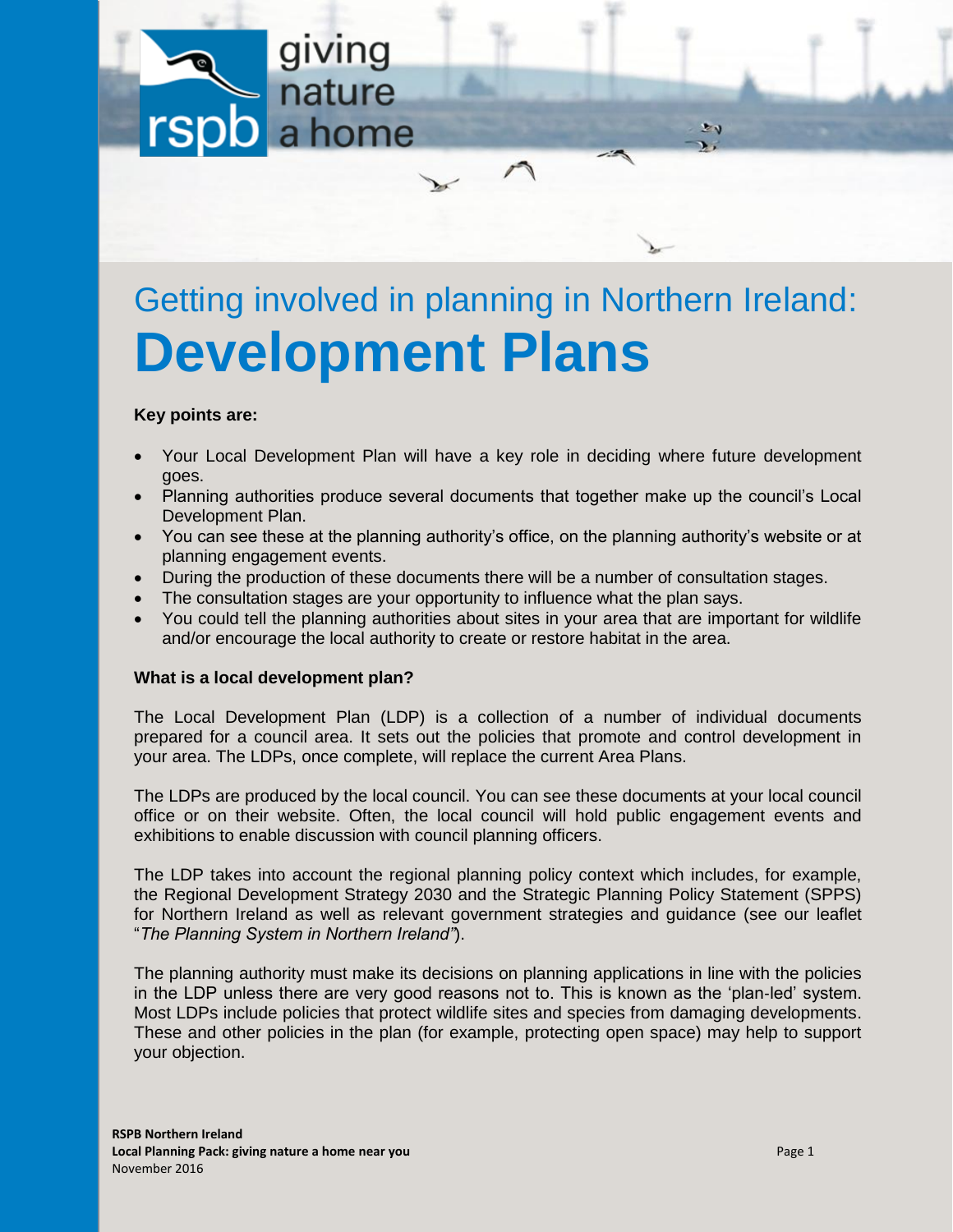

# Getting involved in planning in Northern Ireland: **Development Plans**

# **Key points are:**

- Your Local Development Plan will have a key role in deciding where future development goes.
- Planning authorities produce several documents that together make up the council's Local Development Plan.
- You can see these at the planning authority's office, on the planning authority's website or at planning engagement events.
- During the production of these documents there will be a number of consultation stages.
- The consultation stages are your opportunity to influence what the plan says.
- You could tell the planning authorities about sites in your area that are important for wildlife and/or encourage the local authority to create or restore habitat in the area.

### **What is a local development plan?**

The Local Development Plan (LDP) is a collection of a number of individual documents prepared for a council area. It sets out the policies that promote and control development in your area. The LDPs, once complete, will replace the current Area Plans.

The LDPs are produced by the local council. You can see these documents at your local council office or on their website. Often, the local council will hold public engagement events and exhibitions to enable discussion with council planning officers.

The LDP takes into account the regional planning policy context which includes, for example, the Regional Development Strategy 2030 and the Strategic Planning Policy Statement (SPPS) for Northern Ireland as well as relevant government strategies and guidance (see our leaflet "*The Planning System in Northern Ireland"*).

The planning authority must make its decisions on planning applications in line with the policies in the LDP unless there are very good reasons not to. This is known as the 'plan‐led' system. Most LDPs include policies that protect wildlife sites and species from damaging developments. These and other policies in the plan (for example, protecting open space) may help to support your objection.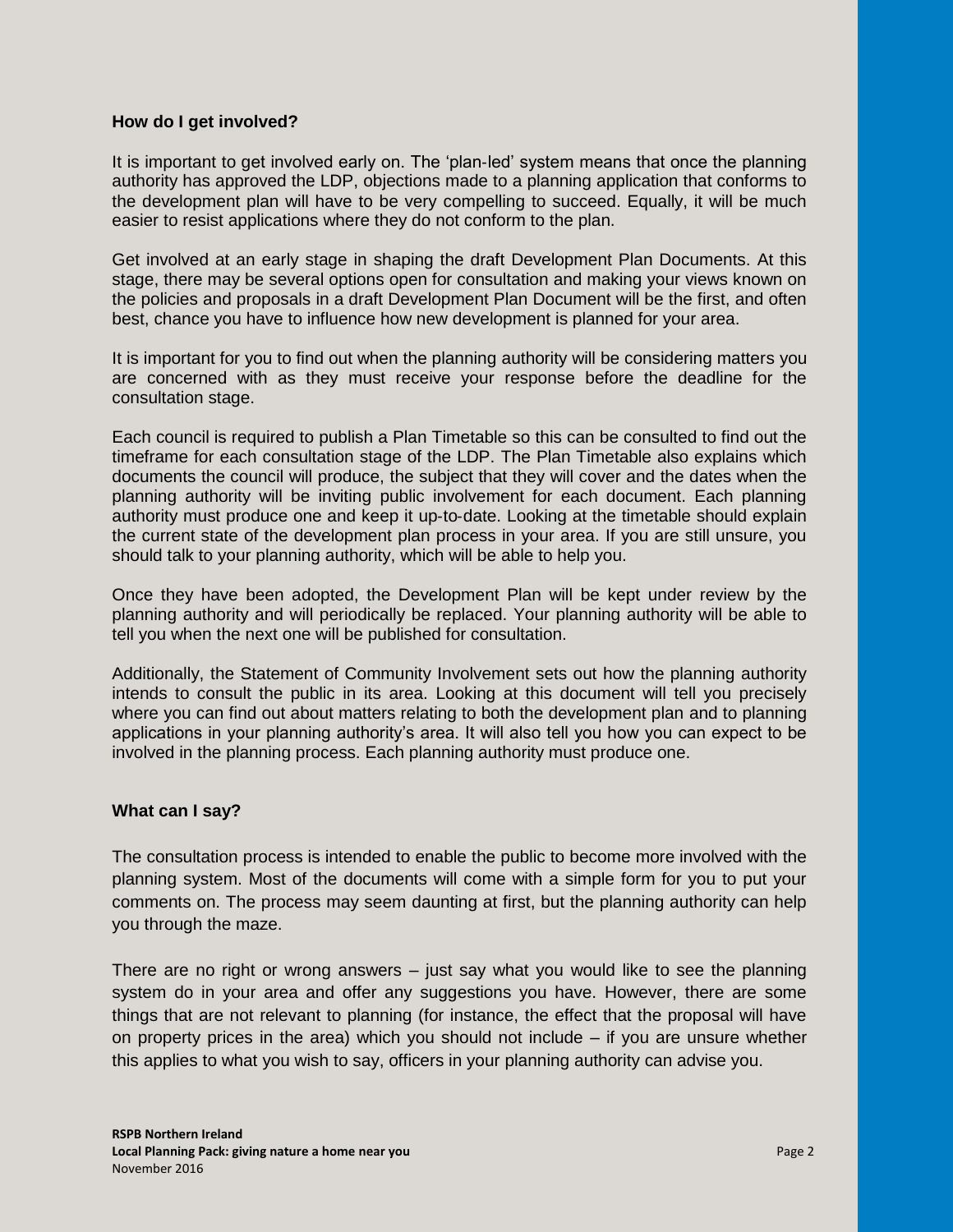## **How do I get involved?**

It is important to get involved early on. The 'plan‐led' system means that once the planning authority has approved the LDP, objections made to a planning application that conforms to the development plan will have to be very compelling to succeed. Equally, it will be much easier to resist applications where they do not conform to the plan.

Get involved at an early stage in shaping the draft Development Plan Documents. At this stage, there may be several options open for consultation and making your views known on the policies and proposals in a draft Development Plan Document will be the first, and often best, chance you have to influence how new development is planned for your area.

It is important for you to find out when the planning authority will be considering matters you are concerned with as they must receive your response before the deadline for the consultation stage.

Each council is required to publish a Plan Timetable so this can be consulted to find out the timeframe for each consultation stage of the LDP. The Plan Timetable also explains which documents the council will produce, the subject that they will cover and the dates when the planning authority will be inviting public involvement for each document. Each planning authority must produce one and keep it up‐to‐date. Looking at the timetable should explain the current state of the development plan process in your area. If you are still unsure, you should talk to your planning authority, which will be able to help you.

Once they have been adopted, the Development Plan will be kept under review by the planning authority and will periodically be replaced. Your planning authority will be able to tell you when the next one will be published for consultation.

Additionally, the Statement of Community Involvement sets out how the planning authority intends to consult the public in its area. Looking at this document will tell you precisely where you can find out about matters relating to both the development plan and to planning applications in your planning authority's area. It will also tell you how you can expect to be involved in the planning process. Each planning authority must produce one.

### **What can I say?**

The consultation process is intended to enable the public to become more involved with the planning system. Most of the documents will come with a simple form for you to put your comments on. The process may seem daunting at first, but the planning authority can help you through the maze.

There are no right or wrong answers  $-$  just say what you would like to see the planning system do in your area and offer any suggestions you have. However, there are some things that are not relevant to planning (for instance, the effect that the proposal will have on property prices in the area) which you should not include – if you are unsure whether this applies to what you wish to say, officers in your planning authority can advise you.